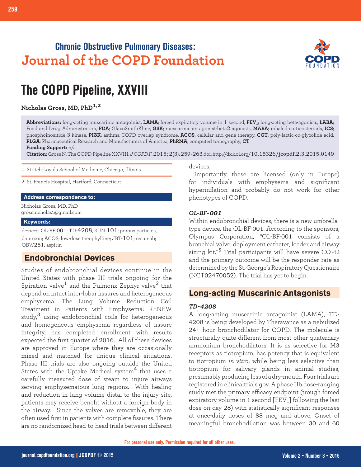# **Chronic Obstructive Pulmonary Diseases: Journal of the COPD Foundation**



# **The COPD Pipeline, XXVIII**

## **Nicholas Gross, MD, PhD1,2**

**Abbreviations:** long-acting muscarinic antagoinist, **LAMA**; forced expiratory volume in 1 second, **FEV1**; long-acting beta-agonists, **LABA**; Food and Drug Administration, **FDA**; GlaxoSmithKline, **GSK**; muscarinic antagonist-beta2 agonists, **MABA**; inhaled corticosteroids, **ICS**; phosphoinositide 3 kinase, **PI3K**; asthma COPD overlap syndrome, **ACOS**; cellular and gene therapy, **CGT**; poly-lactic-co-glycolide acid, **PLGA**; Pharmaceutical Research and Manufacturers of America, **PhRMA**; computed tomography, **CT**

**Funding Support:** n/a

**Citation:** Gross N. The COPD Pipeline XXVIII. *J COPD F*. 2015; 2(3): 259-263.doi: http://dx.doi.org/10.15326/jcopdf.2.3.2015.0149

1 Stritch-Loyola School of Medicine, Chicago, Illinois

2 St. Francis Hospital, Hartford, Connecticut

#### **Address correspondence to:**

Nicholas Gross, MD, PhD grossnicholas1@gmail.com

#### **Keywords:**

devices; OL-BF-001; TD-4208, SUN-101; porous particles, danirixin; ACOS; low-dose theophylline; JBT-101; resumab; QBW251; aspirin

# **Endobronchial Devices**

Studies of endobronchial devices continue in the United States with phase III trials ongoing for the Spiration valve<sup>1</sup> and the Pulmonx Zephyr valve<sup>2</sup> that depend on intact inter-lobar fissures and heterogeneous emphysema. The Lung Volume Reduction Coil Treatment in Patients with Emphysema: RENEW study, $3$  using endobronchial coils for heterogeneous and homogeneous emphysema regardless of fissure integrity, has completed enrollment with results expected the first quarter of 2016. All of these devices are approved in Europe where they are occasionally mixed and matched for unique clinical situations. Phase III trials are also ongoing outside the United States with the Uptake Medical system<sup>4</sup> that uses a carefully measured dose of steam to injure airways serving emphysematous lung regions. With healing and reduction in lung volume distal to the injury site, patients may receive benefit without a foreign body in the airway. Since the valves are removable, they are often used first in patients with complete fissures. There are no randomized head-to-head trials between different

devices.

Importantly, these are licensed (only in Europe) for individuals with emphysema and significant hyperinflation and probably do not work for other phenotypes of COPD.

#### *OL-BF-001*

Within endobronchial devices, there is a new umbrellatype device, the OL-BF-001. According to the sponsors, Olympus Corporation, "OL-BF-001 consists of a bronchial valve, deployment catheter, loader and airway sizing kit."5 Trial participants will have severe COPD and the primary outcome will be the responder rate as determined by the St. George's Respiratory Questionaire (NCT02470052). The trial has yet to begin.

# **Long-acting Muscarinic Antagonists Long-acting Muscarinic Antagonists**

#### *TD-4208*

A long-acting muscarinic antagoinist (LAMA), TD-4208 is being developed by Theravance as a nebulized 24+ hour bronchodilator for COPD. The molecule is structurally quite different from most other quaternary ammonium bronchodilators. It is as selective for M3 receptors as tiotropium, has potency that is equivalent to tiotropium *in vitro*, while being less selective than tiotropium for salivary glands in animal studies, presumably producing less of a dry-mouth. Four trials are registered in clinicaltrials.gov. A phase IIb dose-ranging study met the primary efficacy endpoint (trough forced expiratory volume in 1 second  $[FEV<sub>1</sub>]$  following the last dose on day 28) with statistically significant responses at once-daily doses of 88 mcg and above. Onset of meaningful bronchodilation was between 30 and 60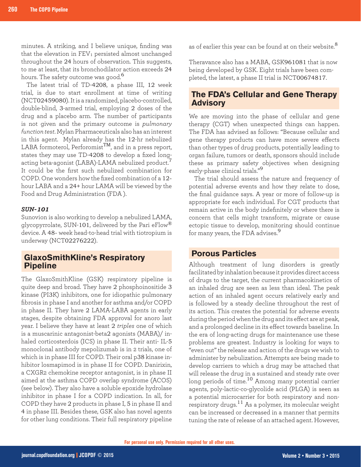minutes. A striking, and I believe unique, finding was that the elevation in  $FEV<sub>1</sub>$  persisted almost unchanged throughout the 24 hours of observation. This suggests, to me at least, that its bronchodilator action exceeds 24 hours. The safety outcome was good.<sup>6</sup>

The latest trial of TD-4208, a phase III, 12 week trial, is due to start enrollment at time of writing (NCT02459080). It is a randomized, placebo-controlled, double-blind, 3-armed trial, employing 2 doses of the drug and a placebo arm. The number of participants is not given and the primary outcome is *pulmonary function test*. Mylan Pharmaceuticals also has an interest in this agent. Mylan already has the 12-hr nebulized LABA formoterol, Perforomist<sup>TM</sup>, and in a press report, states they may use TD-4208 to develop a fixed longacting beta-agonist (LABA)-LAMA nebulized product.<sup>7</sup> It could be the first such nebulized combination for COPD. One wonders how the fixed combination of a 12 hour LABA and a 24+ hour LAMA will be viewed by the Food and Drug Administration (FDA ).

#### *SUN-101*

Sunovion is also working to develop a nebulized LAMA, glycopyrrolate, SUN-101, delivered by the Pari eFlow® device. A 48- week head-to-head trial with tiotropium is underway (NCT02276222).

## **GlaxoSmithKline's Respiratory Pipeline**

The GlaxoSmithKline (GSK) respiratory pipeline is quite deep and broad. They have 2 phosphoinositide 3 kinase (PI3K) inhibitors, one for idiopathic pulmonary fibrosis in phase I and another for asthma and/or COPD in phase II. They have 2 LAMA-LABA agents in early stages, despite obtaining FDA approval for anoro last year. I believe they have at least 2 *triples* one of which is a muscarinic antagonist-beta2 agonists (MABA)/ inhaled corticosterdois (ICS) in phase II. Their anti- IL-5 monoclonal antibody mepolizumab is in 2 trials, one of which is in phase III for COPD. Their oral p38 kinase inhibitor losmapimod is in phase II for COPD. Danirixin, a CXGR2 chemokine receptor antagonist, is in phase II aimed at the asthma COPD overlap syndrome (ACOS) (see below). They also have a soluble epoxide hydrolase inhibitor in phase I for a COPD indication. In all, for COPD they have 2 products in phase I, 5 in phase II and 4 in phase III. Besides these, GSK also has novel agents for other lung conditions. Their full respiratory pipeline

as of earlier this year can be found at on their website.<sup>8</sup>

Theravance also has a MABA, GSK961081 that is now being developed by GSK. Eight trials have been completed, the latest, a phase II trial is NCT00674817.

# **The FDA's Cellular and Gene Therapy Advisory**

We are moving into the phase of cellular and gene therapy (CGT) when unexpected things can happen. The FDA has advised as follows: "Because cellular and gene therapy products can have more severe effects than other types of drug products, potentially leading to organ failure, tumors or death, sponsors should include these as primary safety objectives when designing early-phase clinical trials."<sup>9</sup>

The trial should assess the nature and frequency of potential adverse events and how they relate to dose, the final guidance says. A year or more of follow-up is appropriate for each individual. For CGT products that remain active in the body indefinitely or where there is concern that cells might transform, migrate or cause ectopic tissue to develop, monitoring should continue for many years, the FDA advises.<sup>9</sup>

## **Porous Particles**

Although treatment of lung disorders is greatly facilitated by inhalation because it provides direct access of drugs to the target, the current pharmacokinetics of an inhaled drug are seen as less than ideal. The peak action of an inhaled agent occurs relatively early and is followed by a steady decline throughout the rest of its action. This creates the potential for adverse events during the period when the drug and its effect are at peak, and a prolonged decline in its effect towards baseline. In the era of long-acting drugs for maintenance use these problems are greatest. Industry is looking for ways to "even out" the release and action of the drugs we wish to administer by nebulization. Attempts are being made to develop carriers to which a drug may be attached that will release the drug in a sustained and steady rate over long periods of time.<sup>10</sup> Among many potential carrier agents, poly-lactic-co-glycolide acid (PLGA) is seen as a potential microcarrier for both respiratory and nonrespiratory drugs.11 As a polymer, its molecular weight can be increased or decreased in a manner that permits tuning the rate of release of an attached agent. However,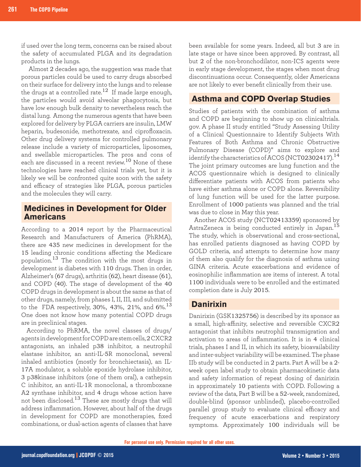if used over the long term, concerns can be raised about the safety of accumulated PLGA and its degradation products in the lungs.

 Almost 2 decades ago, the suggestion was made that porous particles could be used to carry drugs absorbed on their surface for delivery into the lungs and to release the drugs at a controlled rate.<sup>12</sup> If made large enough, the particles would avoid alveolar phagocytosis, but have low enough bulk density to nevertheless reach the distal lung. Among the numerous agents that have been explored for delivery by PLGA carriers are insulin, LMW heparin, budesonide, methotrexate, and ciprofloxacin. Other drug delivery systems for controlled pulmonary release include a variety of microparticles, liposomes, and swellable microparticles. The pros and cons of each are discussed in a recent review.10 None of these technologies have reached clinical trials yet, but it is likely we will be confronted quite soon with the safety and efficacy of strategies like PLGA, porous particles and the molecules they will carry.

### **Medicines in Development for Older Americans**

According to a 2014 report by the Pharmaceutical Research and Manufacturers of America (PhRMA), there are 435 new medicines in development for the 15 leading chronic conditions affecting the Medicare population.13 The condition with the most drugs in development is diabetes with 110 drugs. Then in order, Alzheimer's (67 drugs), arthritis (62), heart disease (61), and COPD (40). The stage of development of the 40 COPD drugs in development is about the same as that of other drugs, namely, from phases I, II, III, and submitted to the FDA respectively, 30%, 43%, 21%, and 6%.  $^{13}$ One does not know how many potential COPD drugs are in preclinical stages.

According to PhRMA, the novel classes of drugs/ agents in development for COPD are stem cells, 2 CXCR2 antagonists, an inhaled p38 inhibitor, a neutrophil elastase inhibitor, an anti-IL-5R monoclonal, several inhaled antibiotics (mostly for bronchiectasis), an IL-17A modulator, a soluble epoxide hydrolase inhibitor, 3 p38kinase inhibitors (one of them oral), a cathepsin C inhibitor, an anti-IL-1R monoclonal, a thromboxane A2 synthase inhibitor, and 4 drugs whose action have not been disclosed.13 These are mostly drugs that will address inflammation. However, about half of the drugs in development for COPD are monotherapies, fixed combinations, or dual-action agents of classes that have

been available for some years. Indeed, all but 3 are in late stage or have since been approved. By contrast, all but 2 of the non-bronchodilator, non-ICS agents were in early stage development, the stages when most drug discontinuations occur. Consequently, older Americans are not likely to ever benefit clinically from their use.

# **Asthma and COPD Overlap Studies**

Studies of patients with the combination of asthma and COPD are beginning to show up on clinicaltrials. gov. A phase II study entitled "Study Assessing Utility of a Clinical Questionnaire to Identify Subjects With Features of Both Asthma and Chronic Obstructive Pulmonary Disease (COPD)" aims to explore and identify the characteristics of ACOS (NCT02302417).<sup>14</sup> The joint primary outcomes are lung function and the ACOS questionnaire which is designed to clinically differentiate patients with ACOS from patients who have either asthma alone or COPD alone. Reversibility of lung function will be used for the latter purpose. Enrollment of 1000 patients was planned and the trial was due to close in May this year.

Another ACOS study (NCT02413359) sponsored by AstraZeneca is being conducted entirely in Japan.<sup>15</sup> The study, which is observational and cross-sectional, has enrolled patients diagnosed as having COPD by GOLD criteria, and attempts to determine how many of them also qualify for the diagnosis of asthma using GINA criteria. Acute exacerbations and evidence of eosinophilic inflammation are items of interest. A total 1100 individuals were to be enrolled and the estimated completion date is July 2015.

# **Danirixin**

Danirixin (GSK1325756) is described by its sponsor as a small, high-affinity, selective and reversible CXCR2 antagonist that inhibits neutrophil transmigration and activation to areas of inflammation. It is in 4 clinical trials, phases I and II, in which its safety, bioavailability and inter-subject variability will be examined. The phase IIb study will be conducted in 2 parts. Part A will be a 2 week open label study to obtain pharmacokinetic data and safety information of repeat dosing of danirixin in approximately 10 patients with COPD. Following a review of the data, Part B will be a 52-week, randomized, double-blind (sponsor unblinded), placebo-controlled parallel group study to evaluate clinical efficacy and frequency of acute exacerbations and respiratory symptoms. Approximately 100 individuals will be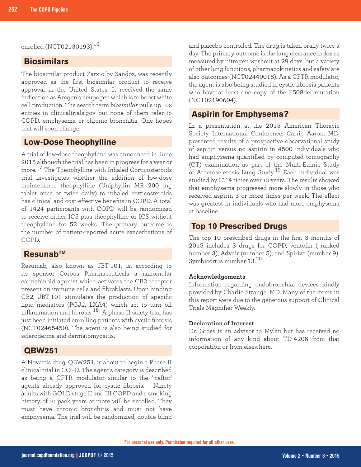enrolled (NCT02130193).<sup>16</sup>

# **Biosimilars**

The biosimilar product Zarxio by Sandoz, was recently approved as the first biosimilar product to receive approval in the United States. It received the same indication as Amgen's neupogen which is to boost white cell production. The search term *biosimilar* pulls up 102 entries in clinicaltrials.gov but none of them refer to COPD, emphysema or chronic bronchitis. One hopes that will soon change.

### **Low-Dose Theophylline**

A trial of low-dose theophylline was announced in June 2015 although the trial has been in progress for a year or more.17 The Theophylline with Inhaled Corticosteroids trial investigates whether the addition of low-dose maintenance theophylline (Uniphyllin MR 200 mg tablet once or twice daily) to inhaled corticosteroids has clinical and cost-effective benefits in COPD. A total of 1424 participants with COPD will be randomized to receive either ICS plus theophylline or ICS without theophylline for 52 weeks. The primary outcome is the number of patient-reported acute exacerbations of COPD.

## **ResunabTM**

Resumab, also known as JBT-101, is, according to its sponsor Corbus Pharmaceuticals a nanomolar cannabinoid agonist which activates the CB2 receptor present on immune cells and fibroblasts. Upon binding CB2, JBT-101 stimulates the production of specific lipid mediators (PGJ2, LXA4) which act to turn off inflammation and fibrosis.<sup>18</sup> A phase II safety trial has just been initiated enrolling patients with cystic fibrosis (NCT02465450). The agent is also being studied for scleroderma and dermatomyositis.

## **QBW251**

A Novartis drug, QBW251, is about to begin a Phase II clinical trial in COPD. The agent's category is described as being a CFTR modulator similar to the '-caftor' agents already approved for cystic fibrosis. Ninety adults with GOLD stage II and III COPD and a smoking history of 10 pack years or more will be enrolled. They must have chronic bronchitis and must not have emphysema. The trial will be randomized, double blind

and placebo controlled. The drug is taken orally twice a day. The primary outcome is the lung clearance index as measured by nitrogen washout at 29 days, but a variety of other lung functions, pharmacokinetics and safety are also outcomes (NCT02449018). As a CFTR modulator, the agent is also being studied in cystic fibrosis patients who have at least one copy of the F508del mutation (NCT02190604).

## **Aspirin for Emphysema?**

In a presentation at the 2015 American Thoracic Society International Conference, Carrie Aaron, MD, presented results of a prospective observational study of aspirin versus no aspirin in 4500 individuals who had emphysema quantified by computed tomography (CT) examination as part of the Multi-Ethnic Study of Atherosclerosis Lung Study.<sup>19</sup> Each individual was studied by CT 4 times over 10 years. The results showed that emphysema progressed more slowly in those who received aspirin 3 or more times per week. The effect was greatest in individuals who had more emphysema at baseline.

### **Top 10 Prescribed Drugs**

The top 10 prescribed drugs in the first 3 months of 2015 includes 3 drugs for COPD, ventolin ( ranked number 3), Advair (number 5), and Spiriva (number 9). Symbicort is number 13. 20

#### **Acknowledgements**

Information regarding endobronchial devices kindly provided by Charlie Strange, MD. Many of the items in this report were due to the generous support of Clinical Trials Magnifier Weekly.

#### **Declaration of Interest**

Dr. Gross is an advisor to Mylan but has received no information of any kind about TD-4208 from that corporation or from elsewhere.